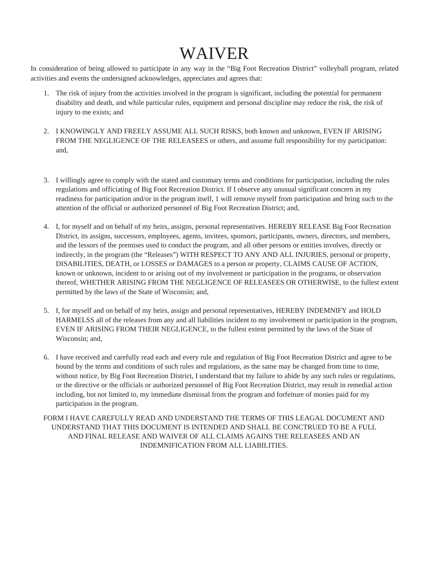## WAIVER

In consideration of being allowed to participate in any way in the "Big Foot Recreation District" volleyball program, related activities and events the undersigned acknowledges, appreciates and agrees that:

- 1. The risk of injury from the activities involved in the program is significant, including the potential for permanent disability and death, and while particular rules, equipment and personal discipline may reduce the risk, the risk of injury to me exists; and
- 2. I KNOWINGLY AND FREELY ASSUME ALL SUCH RISKS, both known and unknown, EVEN IF ARISING FROM THE NEGLIGENCE OF THE RELEASEES or others, and assume full responsibility for my participation: and,
- 3. I willingly agree to comply with the stated and customary terms and conditions for participation, including the rules regulations and officiating of Big Foot Recreation District. If I observe any unusual significant concern in my readiness for participation and/or in the program itself, 1 will remove myself from participation and bring such to the attention of the official or authorized personnel of Big Foot Recreation District; and,
- 4. I, for myself and on behalf of my heirs, assigns, personal representatives. HEREBY RELEASE Big Foot Recreation District, its assigns, successors, employees, agents, invitees, sponsors, participants, owners, directors, and members, and the lessors of the premises used to conduct the program, and all other persons or entities involves, directly or indirectly, in the program (the "Releases") WITH RESPECT TO ANY AND ALL INJURIES, personal or property, DISABILITIES, DEATH, or LOSSES or DAMAGES to a person or property, CLAIMS CAUSE OF ACTION, known or unknown, incident to or arising out of my involvement or participation in the programs, or observation thereof, WHETHER ARISING FROM THE NEGLIGENCE OF RELEASEES OR OTHERWISE, to the fullest extent permitted by the laws of the State of Wisconsin; and,
- 5. I, for myself and on behalf of my heirs, assign and personal representatives, HEREBY INDEMNIFY and HOLD HARMELSS all of the releases from any and all liabilities incident to my involvement or participation in the program, EVEN IF ARISING FROM THEIR NEGLIGENCE, to the fullest extent permitted by the laws of the State of Wisconsin; and,
- 6. I have received and carefully read each and every rule and regulation of Big Foot Recreation District and agree to be bound by the terms and conditions of such rules and regulations, as the same may be changed from time to time, without notice, by Big Foot Recreation District, I understand that my failure to abide by any such rules or regulations, or the directive or the officials or authorized personnel of Big Foot Recreation District, may result in remedial action including, but not limited to, my immediate dismissal from the program and forfeiture of monies paid for my participation in the program.

FORM I HAVE CAREFULLY READ AND UNDERSTAND THE TERMS OF THIS LEAGAL DOCUMENT AND UNDERSTAND THAT THIS DOCUMENT IS INTENDED AND SHALL BE CONCTRUED TO BE A FULL AND FINAL RELEASE AND WAIVER OF ALL CLAIMS AGAINS THE RELEASEES AND AN INDEMNIFICATION FROM ALL LIABILITIES.